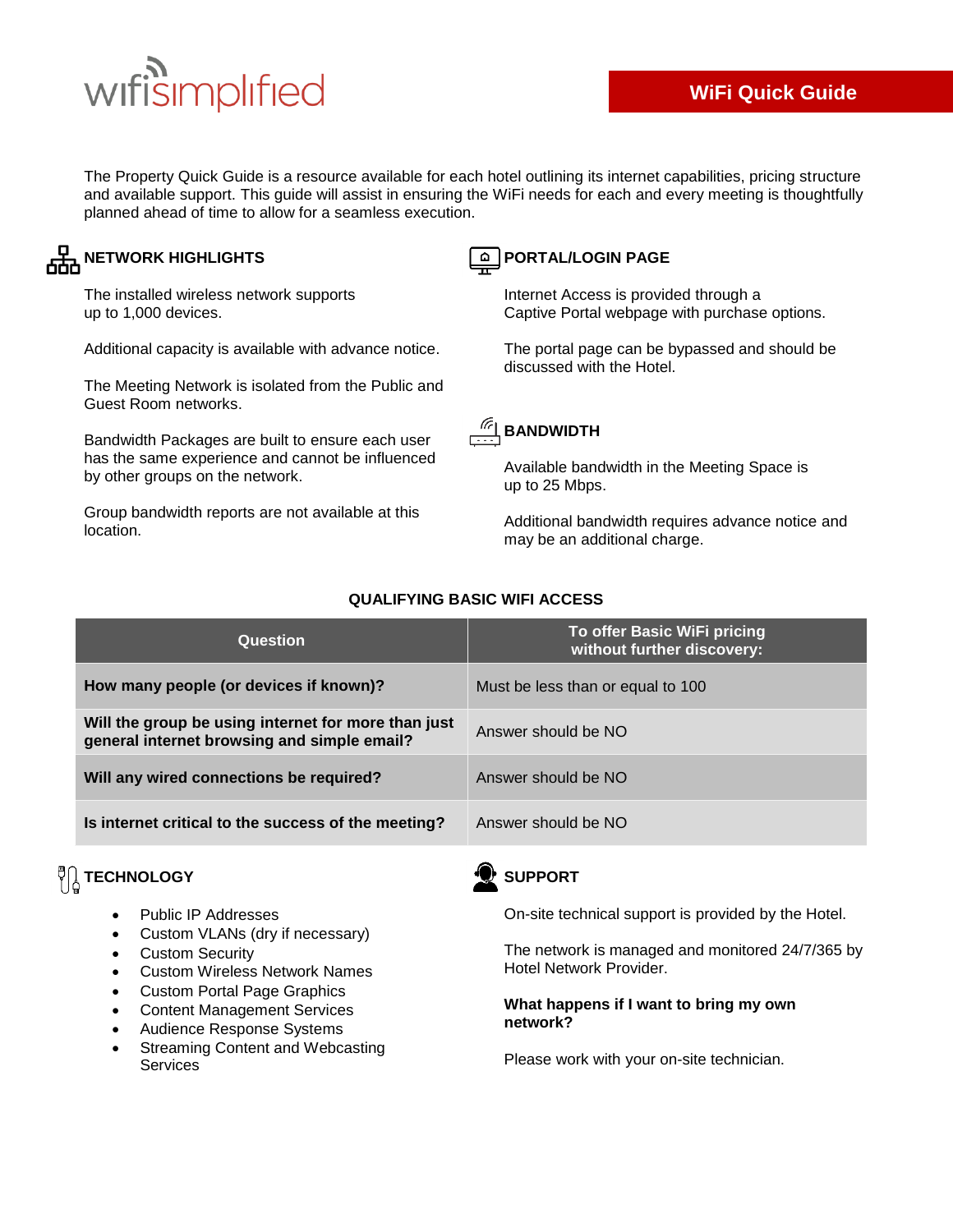# wifisimplified

The Property Quick Guide is a resource available for each hotel outlining its internet capabilities, pricing structure and available support. This guide will assist in ensuring the WiFi needs for each and every meeting is thoughtfully planned ahead of time to allow for a seamless execution.

### **NETWORK HIGHLIGHTS**

The installed wireless network supports up to 1,000 devices.

Additional capacity is available with advance notice.

The Meeting Network is isolated from the Public and Guest Room networks.

Bandwidth Packages are built to ensure each user has the same experience and cannot be influenced by other groups on the network.

Group bandwidth reports are not available at this location.



#### **PORTAL/LOGIN PAGE**

Internet Access is provided through a Captive Portal webpage with purchase options.

The portal page can be bypassed and should be discussed with the Hotel.



#### Available bandwidth in the Meeting Space is up to 25 Mbps.

Additional bandwidth requires advance notice and may be an additional charge.

| Question                                                                                           | To offer Basic WiFi pricing<br>without further discovery: |
|----------------------------------------------------------------------------------------------------|-----------------------------------------------------------|
| How many people (or devices if known)?                                                             | Must be less than or equal to 100                         |
| Will the group be using internet for more than just<br>general internet browsing and simple email? | Answer should be NO                                       |
| Will any wired connections be required?                                                            | Answer should be NO                                       |
| Is internet critical to the success of the meeting?                                                | Answer should be NO                                       |

#### **QUALIFYING BASIC WIFI ACCESS**

## $\sqrt[12]{\begin{bmatrix} 1 \end{bmatrix}}$  TECHNOLOGY

- Public IP Addresses
- Custom VLANs (dry if necessary)
- Custom Security
- Custom Wireless Network Names
- Custom Portal Page Graphics
- Content Management Services
- Audience Response Systems
- Streaming Content and Webcasting Services



On-site technical support is provided by the Hotel.

The network is managed and monitored 24/7/365 by Hotel Network Provider.

#### **What happens if I want to bring my own network?**

Please work with your on-site technician.